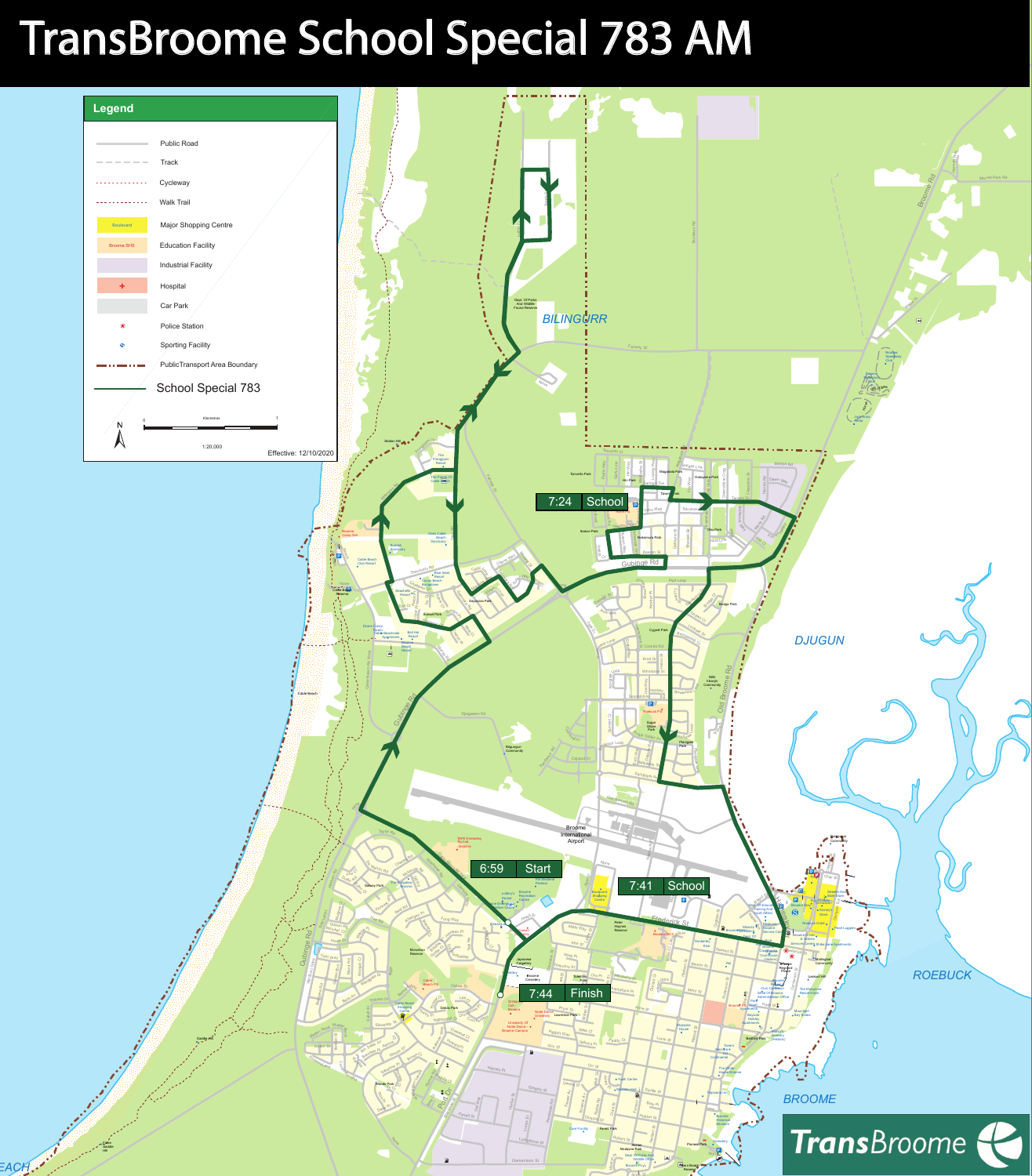

## TransBroome School Special 783 AM